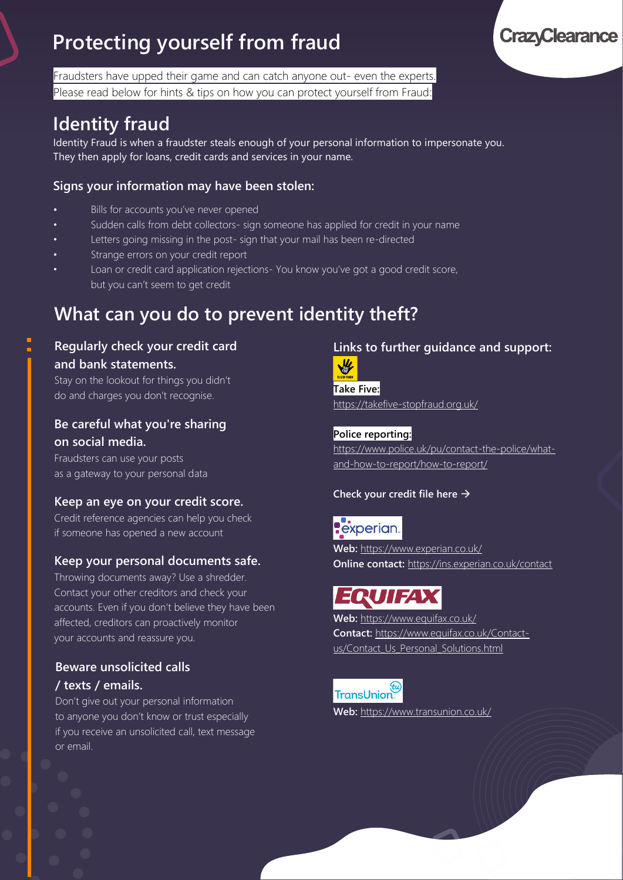# **Protecting yourself from fraud**

Fraudsters have upped their game and can catch anyone out- even the experts. Please read below for hints & tips on how you can protect yourself from Fraud:

## **Identity fraud**

Identity Fraud is when a fraudster steals enough of your personal information to impersonate you. They then apply for loans, credit cards and services in your name.

### **Signs your information may have been stolen:**

- Bills for accounts you've never opened
- Sudden calls from debt collectors- sign someone has applied for credit in your name
- Letters going missing in the post- sign that your mail has been re-directed
- Strange errors on your credit report
- Loan or credit card application rejections- You know you've got a good credit score, but you can't seem to get credit

## **What can you do to prevent identity theft?**

**Regularly check your credit card and bank statements.**

Stay on the lookout for things you didn't do and charges you don't recognise.

### **Be careful what you're sharing on social media.**

Fraudsters can use your posts as a gateway to your personal data

### **Keep an eye on your credit score.**

Credit reference agencies can help you check if someone has opened a new account

### **Keep your personal documents safe.**

Throwing documents away? Use a shredder. Contact your other creditors and check your accounts. Even if you don't believe they have been affected, creditors can proactively monitor your accounts and reassure you.

### **Beware unsolicited calls / texts / emails.**

Don't give out your personal information to anyone you don't know or trust especially if you receive an unsolicited call, text message or email.

### **Links to further guidance and support:**



**Take Five:** <https://takefive-stopfraud.org.uk/>

**Police reporting:** [https://www.police.uk/pu/contact-the-police/what](https://www.police.uk/pu/contact-the-police/what-and-how-to-report/how-to-report/)[and-how-to-report/how-to-report/](https://www.police.uk/pu/contact-the-police/what-and-how-to-report/how-to-report/)

**Check your credit file here** →

## **P**experian.

**Web:** <https://www.experian.co.uk/> **Online contact:** <https://ins.experian.co.uk/contact>

# **EQUIFAX**

**Web:** <https://www.equifax.co.uk/> **Contact:** [https://www.equifax.co.uk/Contact](https://www.equifax.co.uk/Contact-us/Contact_Us_Personal_Solutions.html)[us/Contact\\_Us\\_Personal\\_Solutions.html](https://www.equifax.co.uk/Contact-us/Contact_Us_Personal_Solutions.html)

TransUnion  $\overline{\phantom{a}}$ 

**Web:** <https://www.transunion.co.uk/>